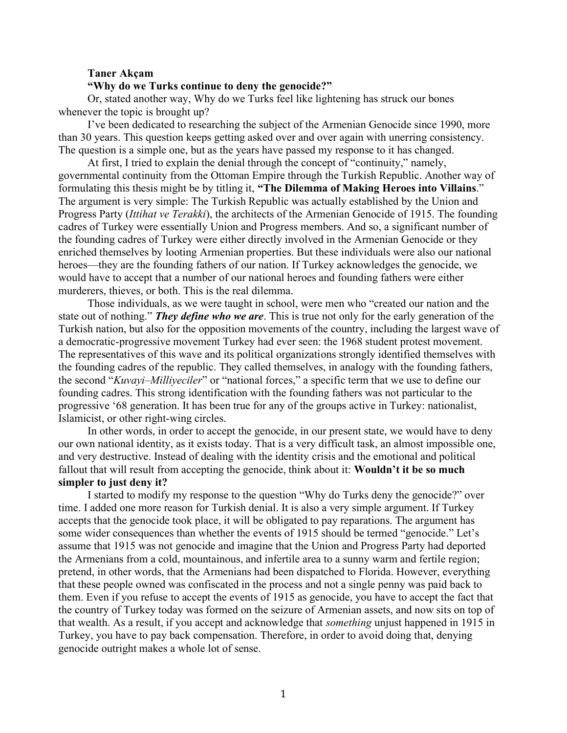#### **Taner Akçam**

## **"Why do we Turks continue to deny the genocide?"**

Or, stated another way, Why do we Turks feel like lightening has struck our bones whenever the topic is brought up?

I've been dedicated to researching the subject of the Armenian Genocide since 1990, more than 30 years. This question keeps getting asked over and over again with unerring consistency. The question is a simple one, but as the years have passed my response to it has changed.

At first, I tried to explain the denial through the concept of "continuity," namely, governmental continuity from the Ottoman Empire through the Turkish Republic. Another way of formulating this thesis might be by titling it, **"The Dilemma of Making Heroes into Villains**." The argument is very simple: The Turkish Republic was actually established by the Union and Progress Party (*Ittihat ve Terakki*), the architects of the Armenian Genocide of 1915. The founding cadres of Turkey were essentially Union and Progress members. And so, a significant number of the founding cadres of Turkey were either directly involved in the Armenian Genocide or they enriched themselves by looting Armenian properties. But these individuals were also our national heroes—they are the founding fathers of our nation. If Turkey acknowledges the genocide, we would have to accept that a number of our national heroes and founding fathers were either murderers, thieves, or both. This is the real dilemma.

Those individuals, as we were taught in school, were men who "created our nation and the state out of nothing." *They define who we are*. This is true not only for the early generation of the Turkish nation, but also for the opposition movements of the country, including the largest wave of a democratic-progressive movement Turkey had ever seen: the 1968 student protest movement. The representatives of this wave and its political organizations strongly identified themselves with the founding cadres of the republic. They called themselves, in analogy with the founding fathers, the second "*Kuvayi–Milliyeciler*" or "national forces," a specific term that we use to define our founding cadres. This strong identification with the founding fathers was not particular to the progressive '68 generation. It has been true for any of the groups active in Turkey: nationalist, Islamicist, or other right-wing circles.

In other words, in order to accept the genocide, in our present state, we would have to deny our own national identity, as it exists today. That is a very difficult task, an almost impossible one, and very destructive. Instead of dealing with the identity crisis and the emotional and political fallout that will result from accepting the genocide, think about it: **Wouldn't it be so much simpler to just deny it?**

I started to modify my response to the question "Why do Turks deny the genocide?" over time. I added one more reason for Turkish denial. It is also a very simple argument. If Turkey accepts that the genocide took place, it will be obligated to pay reparations. The argument has some wider consequences than whether the events of 1915 should be termed "genocide." Let's assume that 1915 was not genocide and imagine that the Union and Progress Party had deported the Armenians from a cold, mountainous, and infertile area to a sunny warm and fertile region; pretend, in other words, that the Armenians had been dispatched to Florida. However, everything that these people owned was confiscated in the process and not a single penny was paid back to them. Even if you refuse to accept the events of 1915 as genocide, you have to accept the fact that the country of Turkey today was formed on the seizure of Armenian assets, and now sits on top of that wealth. As a result, if you accept and acknowledge that *something* unjust happened in 1915 in Turkey, you have to pay back compensation. Therefore, in order to avoid doing that, denying genocide outright makes a whole lot of sense.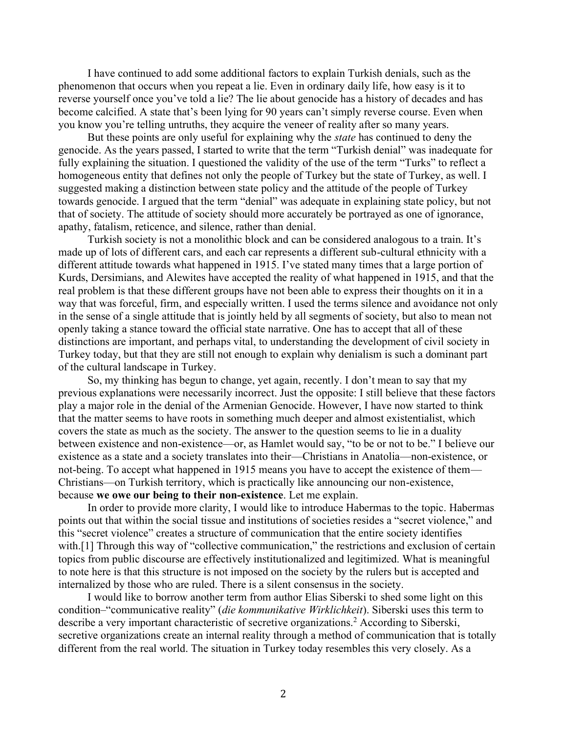I have continued to add some additional factors to explain Turkish denials, such as the phenomenon that occurs when you repeat a lie. Even in ordinary daily life, how easy is it to reverse yourself once you've told a lie? The lie about genocide has a history of decades and has become calcified. A state that's been lying for 90 years can't simply reverse course. Even when you know you're telling untruths, they acquire the veneer of reality after so many years.

But these points are only useful for explaining why the *state* has continued to deny the genocide. As the years passed, I started to write that the term "Turkish denial" was inadequate for fully explaining the situation. I questioned the validity of the use of the term "Turks" to reflect a homogeneous entity that defines not only the people of Turkey but the state of Turkey, as well. I suggested making a distinction between state policy and the attitude of the people of Turkey towards genocide. I argued that the term "denial" was adequate in explaining state policy, but not that of society. The attitude of society should more accurately be portrayed as one of ignorance, apathy, fatalism, reticence, and silence, rather than denial.

Turkish society is not a monolithic block and can be considered analogous to a train. It's made up of lots of different cars, and each car represents a different sub-cultural ethnicity with a different attitude towards what happened in 1915. I've stated many times that a large portion of Kurds, Dersimians, and Alewites have accepted the reality of what happened in 1915, and that the real problem is that these different groups have not been able to express their thoughts on it in a way that was forceful, firm, and especially written. I used the terms silence and avoidance not only in the sense of a single attitude that is jointly held by all segments of society, but also to mean not openly taking a stance toward the official state narrative. One has to accept that all of these distinctions are important, and perhaps vital, to understanding the development of civil society in Turkey today, but that they are still not enough to explain why denialism is such a dominant part of the cultural landscape in Turkey.

So, my thinking has begun to change, yet again, recently. I don't mean to say that my previous explanations were necessarily incorrect. Just the opposite: I still believe that these factors play a major role in the denial of the Armenian Genocide. However, I have now started to think that the matter seems to have roots in something much deeper and almost existentialist, which covers the state as much as the society. The answer to the question seems to lie in a duality between existence and non-existence—or, as Hamlet would say, "to be or not to be." I believe our existence as a state and a society translates into their—Christians in Anatolia—non-existence, or not-being. To accept what happened in 1915 means you have to accept the existence of them— Christians—on Turkish territory, which is practically like announcing our non-existence, because **we owe our being to their non-existence**. Let me explain.

In order to provide more clarity, I would like to introduce Habermas to the topic. Habermas points out that within the social tissue and institutions of societies resides a "secret violence," and this "secret violence" creates a structure of communication that the entire society identifies with.<sup>[1]</sup> Through this way of "collective communication," the restrictions and exclusion of certain topics from public discourse are effectively institutionalized and legitimized. What is meaningful to note here is that this structure is not imposed on the society by the rulers but is accepted and internalized by those who are ruled. There is a silent consensus in the society.

I would like to borrow another term from author Elias Siberski to shed some light on this condition–"communicative reality" (*die kommunikative Wirklichkeit*). Siberski uses this term to describe a very important characteristic of secretive organizations.<sup>2</sup> According to Siberski, secretive organizations create an internal reality through a method of communication that is totally different from the real world. The situation in Turkey today resembles this very closely. As a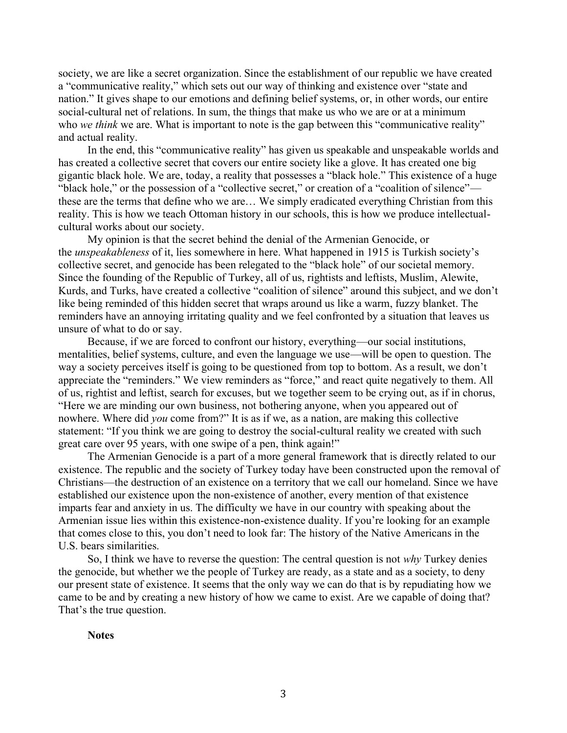society, we are like a secret organization. Since the establishment of our republic we have created a "communicative reality," which sets out our way of thinking and existence over "state and nation." It gives shape to our emotions and defining belief systems, or, in other words, our entire social-cultural net of relations. In sum, the things that make us who we are or at a minimum who *we think* we are. What is important to note is the gap between this "communicative reality" and actual reality.

In the end, this "communicative reality" has given us speakable and unspeakable worlds and has created a collective secret that covers our entire society like a glove. It has created one big gigantic black hole. We are, today, a reality that possesses a "black hole." This existence of a huge "black hole," or the possession of a "collective secret," or creation of a "coalition of silence" these are the terms that define who we are… We simply eradicated everything Christian from this reality. This is how we teach Ottoman history in our schools, this is how we produce intellectualcultural works about our society.

My opinion is that the secret behind the denial of the Armenian Genocide, or the *unspeakableness* of it, lies somewhere in here. What happened in 1915 is Turkish society's collective secret, and genocide has been relegated to the "black hole" of our societal memory. Since the founding of the Republic of Turkey, all of us, rightists and leftists, Muslim, Alewite, Kurds, and Turks, have created a collective "coalition of silence" around this subject, and we don't like being reminded of this hidden secret that wraps around us like a warm, fuzzy blanket. The reminders have an annoying irritating quality and we feel confronted by a situation that leaves us unsure of what to do or say.

Because, if we are forced to confront our history, everything—our social institutions, mentalities, belief systems, culture, and even the language we use—will be open to question. The way a society perceives itself is going to be questioned from top to bottom. As a result, we don't appreciate the "reminders." We view reminders as "force," and react quite negatively to them. All of us, rightist and leftist, search for excuses, but we together seem to be crying out, as if in chorus, "Here we are minding our own business, not bothering anyone, when you appeared out of nowhere. Where did *you* come from?" It is as if we, as a nation, are making this collective statement: "If you think we are going to destroy the social-cultural reality we created with such great care over 95 years, with one swipe of a pen, think again!"

The Armenian Genocide is a part of a more general framework that is directly related to our existence. The republic and the society of Turkey today have been constructed upon the removal of Christians—the destruction of an existence on a territory that we call our homeland. Since we have established our existence upon the non-existence of another, every mention of that existence imparts fear and anxiety in us. The difficulty we have in our country with speaking about the Armenian issue lies within this existence-non-existence duality. If you're looking for an example that comes close to this, you don't need to look far: The history of the Native Americans in the U.S. bears similarities.

So, I think we have to reverse the question: The central question is not *why* Turkey denies the genocide, but whether we the people of Turkey are ready, as a state and as a society, to deny our present state of existence. It seems that the only way we can do that is by repudiating how we came to be and by creating a new history of how we came to exist. Are we capable of doing that? That's the true question.

## **Notes**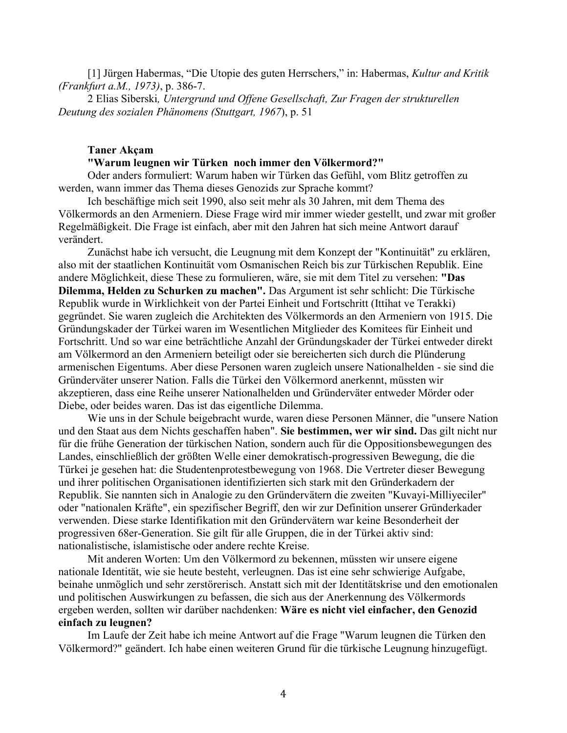[1] Jürgen Habermas, "Die Utopie des guten Herrschers," in: Habermas, *Kultur and Kritik (Frankfurt a.M., 1973)*, p. 386-7.

2 Elias Siberski*, Untergrund und Offene Gesellschaft, Zur Fragen der strukturellen Deutung des sozialen Phänomens (Stuttgart, 1967*), p. 51

# **Taner Akçam**

## **"Warum leugnen wir Türken noch immer den Völkermord?"**

Oder anders formuliert: Warum haben wir Türken das Gefühl, vom Blitz getroffen zu werden, wann immer das Thema dieses Genozids zur Sprache kommt?

Ich beschäftige mich seit 1990, also seit mehr als 30 Jahren, mit dem Thema des Völkermords an den Armeniern. Diese Frage wird mir immer wieder gestellt, und zwar mit großer Regelmäßigkeit. Die Frage ist einfach, aber mit den Jahren hat sich meine Antwort darauf verändert.

Zunächst habe ich versucht, die Leugnung mit dem Konzept der "Kontinuität" zu erklären, also mit der staatlichen Kontinuität vom Osmanischen Reich bis zur Türkischen Republik. Eine andere Möglichkeit, diese These zu formulieren, wäre, sie mit dem Titel zu versehen: **"Das Dilemma, Helden zu Schurken zu machen".** Das Argument ist sehr schlicht: Die Türkische Republik wurde in Wirklichkeit von der Partei Einheit und Fortschritt (Ittihat ve Terakki) gegründet. Sie waren zugleich die Architekten des Völkermords an den Armeniern von 1915. Die Gründungskader der Türkei waren im Wesentlichen Mitglieder des Komitees für Einheit und Fortschritt. Und so war eine beträchtliche Anzahl der Gründungskader der Türkei entweder direkt am Völkermord an den Armeniern beteiligt oder sie bereicherten sich durch die Plünderung armenischen Eigentums. Aber diese Personen waren zugleich unsere Nationalhelden - sie sind die Gründerväter unserer Nation. Falls die Türkei den Völkermord anerkennt, müssten wir akzeptieren, dass eine Reihe unserer Nationalhelden und Gründerväter entweder Mörder oder Diebe, oder beides waren. Das ist das eigentliche Dilemma.

Wie uns in der Schule beigebracht wurde, waren diese Personen Männer, die "unsere Nation und den Staat aus dem Nichts geschaffen haben". **Sie bestimmen, wer wir sind.** Das gilt nicht nur für die frühe Generation der türkischen Nation, sondern auch für die Oppositionsbewegungen des Landes, einschließlich der größten Welle einer demokratisch-progressiven Bewegung, die die Türkei je gesehen hat: die Studentenprotestbewegung von 1968. Die Vertreter dieser Bewegung und ihrer politischen Organisationen identifizierten sich stark mit den Gründerkadern der Republik. Sie nannten sich in Analogie zu den Gründervätern die zweiten "Kuvayi-Milliyeciler" oder "nationalen Kräfte", ein spezifischer Begriff, den wir zur Definition unserer Gründerkader verwenden. Diese starke Identifikation mit den Gründervätern war keine Besonderheit der progressiven 68er-Generation. Sie gilt für alle Gruppen, die in der Türkei aktiv sind: nationalistische, islamistische oder andere rechte Kreise.

Mit anderen Worten: Um den Völkermord zu bekennen, müssten wir unsere eigene nationale Identität, wie sie heute besteht, verleugnen. Das ist eine sehr schwierige Aufgabe, beinahe unmöglich und sehr zerstörerisch. Anstatt sich mit der Identitätskrise und den emotionalen und politischen Auswirkungen zu befassen, die sich aus der Anerkennung des Völkermords ergeben werden, sollten wir darüber nachdenken: **Wäre es nicht viel einfacher, den Genozid einfach zu leugnen?**

Im Laufe der Zeit habe ich meine Antwort auf die Frage "Warum leugnen die Türken den Völkermord?" geändert. Ich habe einen weiteren Grund für die türkische Leugnung hinzugefügt.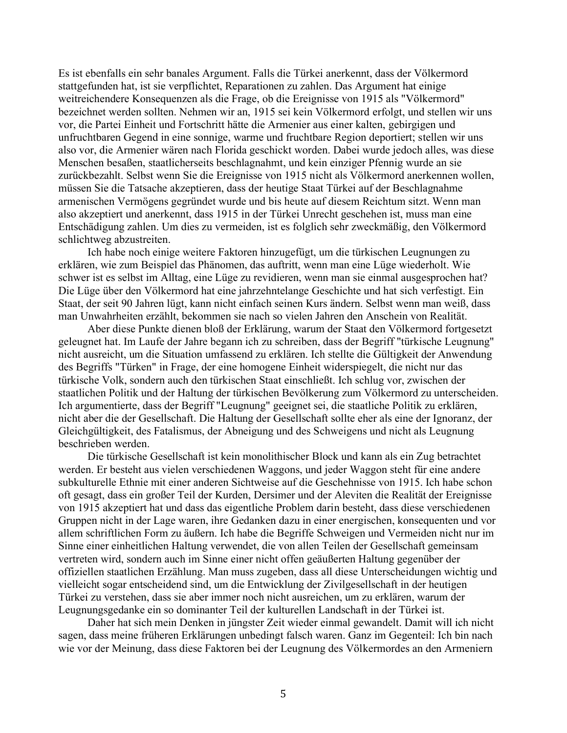Es ist ebenfalls ein sehr banales Argument. Falls die Türkei anerkennt, dass der Völkermord stattgefunden hat, ist sie verpflichtet, Reparationen zu zahlen. Das Argument hat einige weitreichendere Konsequenzen als die Frage, ob die Ereignisse von 1915 als "Völkermord" bezeichnet werden sollten. Nehmen wir an, 1915 sei kein Völkermord erfolgt, und stellen wir uns vor, die Partei Einheit und Fortschritt hätte die Armenier aus einer kalten, gebirgigen und unfruchtbaren Gegend in eine sonnige, warme und fruchtbare Region deportiert; stellen wir uns also vor, die Armenier wären nach Florida geschickt worden. Dabei wurde jedoch alles, was diese Menschen besaßen, staatlicherseits beschlagnahmt, und kein einziger Pfennig wurde an sie zurückbezahlt. Selbst wenn Sie die Ereignisse von 1915 nicht als Völkermord anerkennen wollen, müssen Sie die Tatsache akzeptieren, dass der heutige Staat Türkei auf der Beschlagnahme armenischen Vermögens gegründet wurde und bis heute auf diesem Reichtum sitzt. Wenn man also akzeptiert und anerkennt, dass 1915 in der Türkei Unrecht geschehen ist, muss man eine Entschädigung zahlen. Um dies zu vermeiden, ist es folglich sehr zweckmäßig, den Völkermord schlichtweg abzustreiten.

Ich habe noch einige weitere Faktoren hinzugefügt, um die türkischen Leugnungen zu erklären, wie zum Beispiel das Phänomen, das auftritt, wenn man eine Lüge wiederholt. Wie schwer ist es selbst im Alltag, eine Lüge zu revidieren, wenn man sie einmal ausgesprochen hat? Die Lüge über den Völkermord hat eine jahrzehntelange Geschichte und hat sich verfestigt. Ein Staat, der seit 90 Jahren lügt, kann nicht einfach seinen Kurs ändern. Selbst wenn man weiß, dass man Unwahrheiten erzählt, bekommen sie nach so vielen Jahren den Anschein von Realität.

Aber diese Punkte dienen bloß der Erklärung, warum der Staat den Völkermord fortgesetzt geleugnet hat. Im Laufe der Jahre begann ich zu schreiben, dass der Begriff "türkische Leugnung" nicht ausreicht, um die Situation umfassend zu erklären. Ich stellte die Gültigkeit der Anwendung des Begriffs "Türken" in Frage, der eine homogene Einheit widerspiegelt, die nicht nur das türkische Volk, sondern auch den türkischen Staat einschließt. Ich schlug vor, zwischen der staatlichen Politik und der Haltung der türkischen Bevölkerung zum Völkermord zu unterscheiden. Ich argumentierte, dass der Begriff "Leugnung" geeignet sei, die staatliche Politik zu erklären, nicht aber die der Gesellschaft. Die Haltung der Gesellschaft sollte eher als eine der Ignoranz, der Gleichgültigkeit, des Fatalismus, der Abneigung und des Schweigens und nicht als Leugnung beschrieben werden.

Die türkische Gesellschaft ist kein monolithischer Block und kann als ein Zug betrachtet werden. Er besteht aus vielen verschiedenen Waggons, und jeder Waggon steht für eine andere subkulturelle Ethnie mit einer anderen Sichtweise auf die Geschehnisse von 1915. Ich habe schon oft gesagt, dass ein großer Teil der Kurden, Dersimer und der Aleviten die Realität der Ereignisse von 1915 akzeptiert hat und dass das eigentliche Problem darin besteht, dass diese verschiedenen Gruppen nicht in der Lage waren, ihre Gedanken dazu in einer energischen, konsequenten und vor allem schriftlichen Form zu äußern. Ich habe die Begriffe Schweigen und Vermeiden nicht nur im Sinne einer einheitlichen Haltung verwendet, die von allen Teilen der Gesellschaft gemeinsam vertreten wird, sondern auch im Sinne einer nicht offen geäußerten Haltung gegenüber der offiziellen staatlichen Erzählung. Man muss zugeben, dass all diese Unterscheidungen wichtig und vielleicht sogar entscheidend sind, um die Entwicklung der Zivilgesellschaft in der heutigen Türkei zu verstehen, dass sie aber immer noch nicht ausreichen, um zu erklären, warum der Leugnungsgedanke ein so dominanter Teil der kulturellen Landschaft in der Türkei ist.

Daher hat sich mein Denken in jüngster Zeit wieder einmal gewandelt. Damit will ich nicht sagen, dass meine früheren Erklärungen unbedingt falsch waren. Ganz im Gegenteil: Ich bin nach wie vor der Meinung, dass diese Faktoren bei der Leugnung des Völkermordes an den Armeniern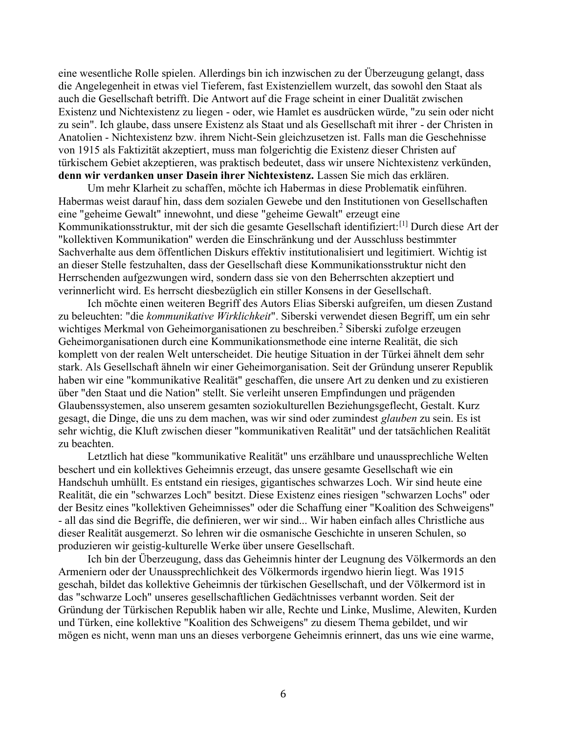eine wesentliche Rolle spielen. Allerdings bin ich inzwischen zu der Überzeugung gelangt, dass die Angelegenheit in etwas viel Tieferem, fast Existenziellem wurzelt, das sowohl den Staat als auch die Gesellschaft betrifft. Die Antwort auf die Frage scheint in einer Dualität zwischen Existenz und Nichtexistenz zu liegen - oder, wie Hamlet es ausdrücken würde, "zu sein oder nicht zu sein". Ich glaube, dass unsere Existenz als Staat und als Gesellschaft mit ihrer - der Christen in Anatolien - Nichtexistenz bzw. ihrem Nicht-Sein gleichzusetzen ist. Falls man die Geschehnisse von 1915 als Faktizität akzeptiert, muss man folgerichtig die Existenz dieser Christen auf türkischem Gebiet akzeptieren, was praktisch bedeutet, dass wir unsere Nichtexistenz verkünden, **denn wir verdanken unser Dasein ihrer Nichtexistenz.** Lassen Sie mich das erklären.

Um mehr Klarheit zu schaffen, möchte ich Habermas in diese Problematik einführen. Habermas weist darauf hin, dass dem sozialen Gewebe und den Institutionen von Gesellschaften eine "geheime Gewalt" innewohnt, und diese "geheime Gewalt" erzeugt eine Kommunikationsstruktur, mit der sich die gesamte Gesellschaft identifiziert:[1] Durch diese Art der "kollektiven Kommunikation" werden die Einschränkung und der Ausschluss bestimmter Sachverhalte aus dem öffentlichen Diskurs effektiv institutionalisiert und legitimiert. Wichtig ist an dieser Stelle festzuhalten, dass der Gesellschaft diese Kommunikationsstruktur nicht den Herrschenden aufgezwungen wird, sondern dass sie von den Beherrschten akzeptiert und verinnerlicht wird. Es herrscht diesbezüglich ein stiller Konsens in der Gesellschaft.

Ich möchte einen weiteren Begriff des Autors Elias Siberski aufgreifen, um diesen Zustand zu beleuchten: "die *kommunikative Wirklichkeit*". Siberski verwendet diesen Begriff, um ein sehr wichtiges Merkmal von Geheimorganisationen zu beschreiben.<sup>2</sup> Siberski zufolge erzeugen Geheimorganisationen durch eine Kommunikationsmethode eine interne Realität, die sich komplett von der realen Welt unterscheidet. Die heutige Situation in der Türkei ähnelt dem sehr stark. Als Gesellschaft ähneln wir einer Geheimorganisation. Seit der Gründung unserer Republik haben wir eine "kommunikative Realität" geschaffen, die unsere Art zu denken und zu existieren über "den Staat und die Nation" stellt. Sie verleiht unseren Empfindungen und prägenden Glaubenssystemen, also unserem gesamten soziokulturellen Beziehungsgeflecht, Gestalt. Kurz gesagt, die Dinge, die uns zu dem machen, was wir sind oder zumindest *glauben* zu sein. Es ist sehr wichtig, die Kluft zwischen dieser "kommunikativen Realität" und der tatsächlichen Realität zu beachten.

Letztlich hat diese "kommunikative Realität" uns erzählbare und unaussprechliche Welten beschert und ein kollektives Geheimnis erzeugt, das unsere gesamte Gesellschaft wie ein Handschuh umhüllt. Es entstand ein riesiges, gigantisches schwarzes Loch. Wir sind heute eine Realität, die ein "schwarzes Loch" besitzt. Diese Existenz eines riesigen "schwarzen Lochs" oder der Besitz eines "kollektiven Geheimnisses" oder die Schaffung einer "Koalition des Schweigens" - all das sind die Begriffe, die definieren, wer wir sind... Wir haben einfach alles Christliche aus dieser Realität ausgemerzt. So lehren wir die osmanische Geschichte in unseren Schulen, so produzieren wir geistig-kulturelle Werke über unsere Gesellschaft.

Ich bin der Überzeugung, dass das Geheimnis hinter der Leugnung des Völkermords an den Armeniern oder der Unaussprechlichkeit des Völkermords irgendwo hierin liegt. Was 1915 geschah, bildet das kollektive Geheimnis der türkischen Gesellschaft, und der Völkermord ist in das "schwarze Loch" unseres gesellschaftlichen Gedächtnisses verbannt worden. Seit der Gründung der Türkischen Republik haben wir alle, Rechte und Linke, Muslime, Alewiten, Kurden und Türken, eine kollektive "Koalition des Schweigens" zu diesem Thema gebildet, und wir mögen es nicht, wenn man uns an dieses verborgene Geheimnis erinnert, das uns wie eine warme,